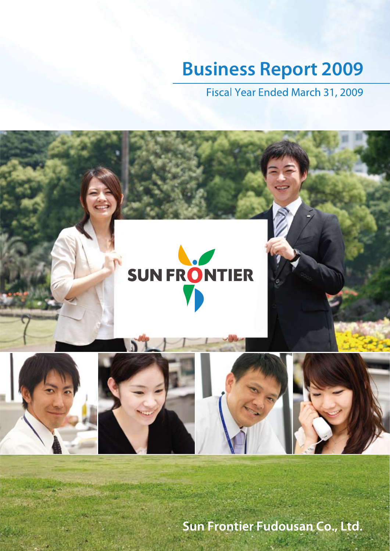# **Business Report 2009**

Fiscal Year Ended March 31, 2009



Sun Frontier Fudousan Co., Ltd.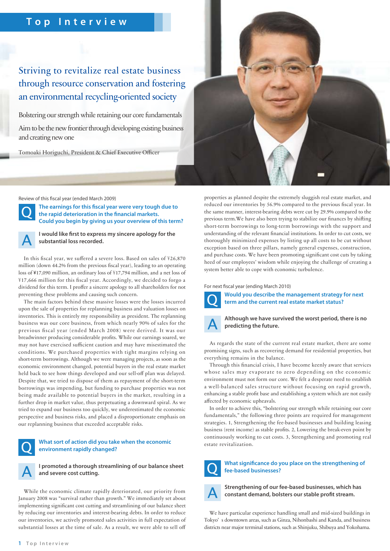### **Top Interview**

### Striving to revitalize real estate business through resource conservation and fostering an environmental recycling-oriented society

Bolstering our strength while retaining our core fundamentals

Aim to be the new frontier through developing existing business and creating new one

Tomoaki Horiguchi, President & Chief Executive Officer



Review of this fiscal year (ended March 2009)



The earnings for this fiscal year were very tough due to the rapid deterioration in the financial markets. **Could you begin by giving us your overview of this term?**



**I would like first to express my sincere apology for the substantial loss recorded.**

In this fiscal year, we suffered a severe loss. Based on sales of  $\frac{426,870}{2}$ million (down 44.2% from the previous fiscal year), leading to an operating loss of ¥17,090 million, an ordinary loss of ¥17,794 million, and a net loss of \17,666 million for this fiscal year. Accordingly, we decided to forgo a dividend for this term. I proffer a sincere apology to all shareholders for not preventing these problems and causing such concern.

The main factors behind these massive losses were the losses incurred upon the sale of properties for replanning business and valuation losses on inventories. This is entirely my responsibility as president. The replanning business was our core business, from which nearly 90% of sales for the previous fiscal year (ended March 2008) were derived. It was our breadwinner producing considerable profits. While our earnings soared, we may not have exercised sufficient caution and may have misestimated the conditions. We purchased properties with tight margins relying on short-term borrowings. Although we were managing projects, as soon as the economic environment changed, potential buyers in the real estate market held back to see how things developed and our sell-off plan was delayed. Despite that, we tried to dispose of them as repayment of the short-term borrowings was impending, but funding to purchase properties was not being made available to potential buyers in the market, resulting in a further drop in market value, thus perpetuating a downward spiral. As we tried to expand our business too quickly, we underestimated the economic perspective and business risks, and placed a disproportionate emphasis on our replanning business that exceeded acceptable risks.

### **What sort of action did you take when the economic environment rapidly changed?**



**I promoted a thorough streamlining of our balance sheet and severe cost cutting.**

While the economic climate rapidly deteriorated, our priority from January 2008 was "survival rather than growth." We immediately set about implementing significant cost cutting and streamlining of our balance sheet by reducing our inventories and interest-bearing debts. In order to reduce our inventories, we actively promoted sales activities in full expectation of substantial losses at the time of sale. As a result, we were able to sell o properties as planned despite the extremely sluggish real estate market, and reduced our inventories by 56.9% compared to the previous fiscal year. In the same manner, interest-bearing debts were cut by 29.9% compared to the previous term. We have also been trying to stabilize our finances by shifting short-term borrowings to long-term borrowings with the support and understanding of the relevant financial institutions. In order to cut costs, we thoroughly minimized expenses by listing up all costs to be cut without exception based on three pillars, namely general expenses, construction, and purchase costs. We have been promoting significant cost cuts by taking heed of our employees' wisdom while enjoying the challenge of creating a system better able to cope with economic turbulence.

For next fiscal year (ending March 2010)



**Would you describe the management strategy for next term and the current real estate market status?**



**Although we have survived the worst period, there is no predicting the future.**

As regards the state of the current real estate market, there are some promising signs, such as recovering demand for residential properties, but everything remains in the balance.

Through this financial crisis, I have become keenly aware that services whose sales may evaporate to zero depending on the economic environment must not form our core. We felt a desperate need to establish a well-balanced sales structure without focusing on rapid growth, enhancing a stable profit base and establishing a system which are not easily affected by economic upheavals.

In order to achieve this, "bolstering our strength while retaining our core fundamentals," the following three points are required for management strategies. 1, Strengthening the fee-based businesses and building leasing business (rent income) as stable profits. 2, Lowering the break-even point by continuously working to cut costs. 3, Strengthening and promoting real estate revitalization.



### **What signicance do you place on the strengthening of fee-based businesses?**



**Strengthening of our fee-based businesses, which has**  constant demand, bolsters our stable profit stream.

We have particular experience handling small and mid-sized buildings in Tokyo' s downtown areas, such as Ginza, Nihonbashi and Kanda, and business districts near major terminal stations, such as Shinjuku, Shibuya and Yokohama.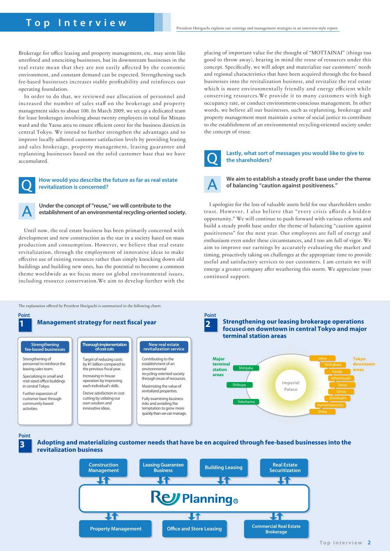### **Top Interview**

Brokerage for office leasing and property management, etc. may seem like unrefined and unexciting businesses, but its downstream businesses in the real estate mean that they are not easily affected by the economic environment, and constant demand can be expected. Strengthening such fee-based businesses increases stable profitability and reinforces our operating foundation.

In order to do that, we reviewed our allocation of personnel and increased the number of sales staff on the brokerage and property management sides to about 100. In March 2009, we set up a dedicated team for lease brokerages involving about twenty employees in total for Minato ward and the Yaesu area to ensure efficient cover for the business districts in central Tokyo. We intend to further strengthen the advantages and to improve locally adhered customer satisfaction levels by providing leasing and sales brokerage, property management, leasing guarantee and replanning businesses based on the solid customer base that we have accumulated.



#### **How would you describe the future as far as real estate revitalization is concerned?**

**Under the concept of "reuse," we will contribute to the establishment of an environmental recycling-oriented society.**

Until now, the real estate business has been primarily concerned with development and new construction as the star in a society based on mass production and consumption. However, we believe that real estate revitalization, through the employment of innovative ideas to make effective use of existing resources rather than simply knocking down old buildings and building new ones, has the potential to become a common theme worldwide as we focus more on global environmental issues, including resource conservation.We aim to develop further with the

The explanation offered by President Horiguchi is summarized in the following charts.

### **1** Management strategy for next fiscal year **2 2 2**

**Strengthening fee-based businesses**

Strengthening of personnel to reinforce the leasing sales team.

Specializing in small and mid-sized office buildings in central Tokyo.

Further expansion of customer base through community-based activities.

**Thorough implementation of cost cuts**

Target of reducing costs by ¥1 billion compared to the previous fiscal year. Increasing in-house operation by improving

Derive satisfaction in cost cutting by utilizing our own wisdom and innovative ideas.

each individual' s skills.

### **New real estate revitalization service**

Contributing to the establishment of an environmental recycling-oriented society through reuse of resources.

Maximizing the value of revitalized properties. Fully examining business risks and avoiding the temptation to grow more quickly than we can manage. placing of important value for the thought of "MOTTAINAI" (things too good to throw away), bearing in mind the reuse of resources under this concept. Specifically, we will adopt and materialize our customers' needs and regional characteristics that have been acquired through the fee-based businesses into the revitalization business, and revitalize the real estate which is more environmentally friendly and energy efficient while conserving resources.We provide it to many customers with high occupancy rate, or conduct environment-conscious management. In other words, we believe all our businesses, such as replanning, brokerage and property management must maintain a sense of social justice to contribute to the establishment of an environmental recycling-oriented society under the concept of reuse.



#### **Lastly, what sort of messages you would like to give to the shareholders?**

We aim to establish a steady profit base under the theme **of balancing "caution against positiveness."**

I apologize for the loss of valuable assets held for our shareholders under trust. However, I also believe that "every crisis affords a hidden opportunity." We will continue to push forward with various reforms and build a steady profit base under the theme of balancing "caution against positiveness" for the next year. Our employees are full of energy and enthusiasm even under these circumstances, and I too am full of vigor. We aim to improve our earnings by accurately evaluating the market and timing, proactively taking on challenges at the appropriate time to provide useful and satisfactory services to our customers. I am certain we will emerge a greater company after weathering this storm. We appreciate your continued support.



**Strengthening our leasing brokerage operations focused on downtown in central Tokyo and major terminal station areas**



**3 Point**

**Adopting and materializing customer needs that have be en acquired through fee-based businesses into the revitalization business**

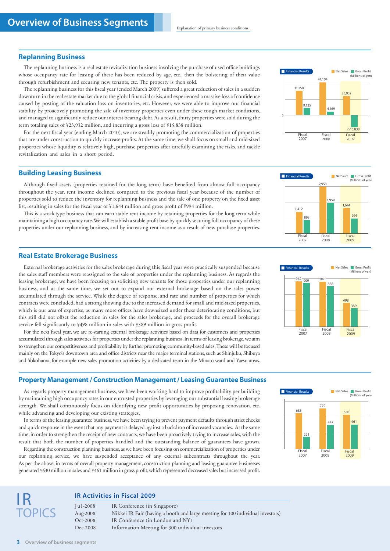#### **Replanning Business**

The replanning business is a real estate revitalization business involving the purchase of used office buildings whose occupancy rate for leasing of these has been reduced by age, etc., then the bolstering of their value through refurbishment and securing new tenants, etc. The property is then sold.

The replanning business for this fiscal year (ended March 2009) suffered a great reduction of sales in a sudden downturn in the real estate market due to the global financial crisis, and experienced a massive loss of confidence caused by posting of the valuation loss on inventories, etc. However, we were able to improve our financial stability by proactively promoting the sale of inventory properties even under these tough market conditions, and managed to significantly reduce our interest-bearing debt. As a result, thirty properties were sold during the term totaling sales of \£23,932 million, and incurring a gross loss of \£15,838 million.

For the next fiscal year (ending March 2010), we are steadily promoting the commercialization of properties that are under construction to quickly increase profits. At the same time, we shall focus on small and mid-sized properties whose liquidity is relatively high, purchase properties after carefully examining the risks, and tackle revitalization and sales in a short period.

### **Building Leasing Business**

Although fixed assets (properties retained for the long term) have benefited from almost full occupancy throughout the year, rent income declined compared to the previous fiscal year because of the number of properties sold to reduce the inventory for replanning business and the sale of one property on the fixed asset list, resulting in sales for the fiscal year of  $\frac{1}{2}1,644$  million and gross profit of  $\frac{1}{2}994$  million.

This is a stock-type business that can earn stable rent income by retaining properties for the long term while maintaining a high occupancy rate. We will establish a stable profit base by quickly securing full occupancy of these properties under our replanning business, and by increasing rent income as a result of new purchase properties.

#### **Real Estate Brokerage Business**

External brokerage activities for the sales brokerage during this fiscal year were practically suspended because the sales staff members were reassigned to the sale of properties under the replanning business. As regards the leasing brokerage, we have been focusing on soliciting new tenants for those properties under our replanning business, and at the same time, we set out to expand our external brokerage based on the sales power accumulated through the service. While the degree of response, and rate and number of properties for which contracts were concluded, had a strong showing due to the increased demand for small and mid-sized properties, which is our area of expertise, as many more offices have downsized under these deteriorating conditions, but this still did not offset the reduction in sales for the sales brokerage, and proceeds for the overall brokerage service fell significantly to \498 million in sales with \4389 million in gross profit.

For the next fiscal year, we are re-starting external brokerage activities based on data for customers and properties accumulated through sales activities for properties under the replanning business. In terms of leasing brokerage, we aim to strengthen our competitiveness and profitability by further promoting community-based sales. These will be focused mainly on the Tokyo's downtown area and office districts near the major terminal stations, such as Shinjuku, Shibuya and Yokohama, for example new sales promotion activities by a dedicated team in the Minato ward and Yaesu areas.

#### **Property Management / Construction Management / Leasing Guarantee Business**

As regards property management business, we have been working hard to improve profitability per building by maintaining high occupancy rates in our entrusted properties by leveraging our substantial leasing brokerage strength. We shall continuously focus on identifying new profit opportunities by proposing renovation, etc. while advancing and developing our existing strategies.

In terms of the leasing guarantee business, we have been trying to prevent payment defaults through strict checks and quick response in the event that any payment is delayed against a backdrop of increased vacancies. At the same time, in order to strengthen the receipt of new contracts, we have been proactively trying to increase sales, with the result that both the number of properties handled and the outstanding balance of guarantees have grown.

Regarding the construction planning business, as we have been focusing on commercialization of properties under our replanning service, we have suspended acceptance of any external subcontracts throughout the year. As per the above, in terms of overall property management, construction planning and leasing guarantee businesses generated \£630 million in sales and \£461 million in gross profit, which represented decreased sales but increased profit.









#### **IR Activities in Fiscal 2009**

Jul-2008 IR Conference (in Singapore) Aug-2008 Nikkei IR Fair (having a booth and large meeting for 100 individual investors) Oct-2008 IR Conference (in London and NY) Dec-2008 Information Meeting for 300 individual investors

IR

**OPICS**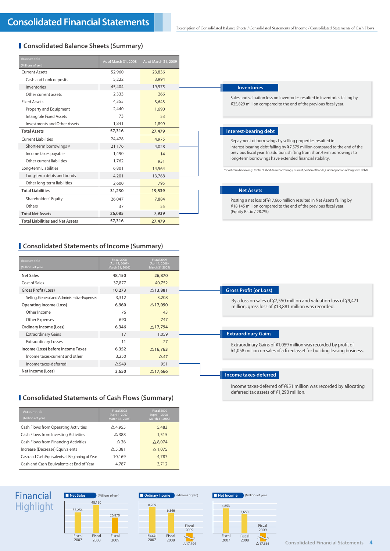### **Consolidated Balance Sheets (Summary)**

| <b>Account title</b>                    | As of March 31, 2008 | As of March 31, 2009 |
|-----------------------------------------|----------------------|----------------------|
| (Millions of yen)                       |                      |                      |
| <b>Current Assets</b>                   | 52,960               | 23,836               |
| Cash and bank deposits                  | 5.222                | 3,994                |
| Inventories                             | 45,404               | 19,575               |
| Other current assets                    | 2,333                | 266                  |
| <b>Fixed Assets</b>                     | 4,355                | 3,643                |
| Property and Equipment                  | 2,440                | 1,690                |
| Intangible Fixed Assets                 | 73                   | 53                   |
| Investments and Other Assets            | 1,841                | 1,899                |
| <b>Total Assets</b>                     | 57,316               | 27,479               |
| <b>Current Liabilities</b>              | 24,428               | 4,975                |
| Short-term borrowings*                  | 21,176               | 4.028                |
| Income taxes payable                    | 1,490                | 14                   |
| Other current liabilities               | 1,762                | 931                  |
| Long-term Liabilities                   | 6,801                | 14,564               |
| Long-term debts and bonds               | 4,201                | 13,768               |
| Other long-term liabilities             | 2,600                | 795                  |
| <b>Total Liabilities</b>                | 31,230               | 19,539               |
| Shareholders' Equity                    | 26,047               | 7,884                |
| Others                                  | 37                   | 55                   |
| <b>Total Net Assets</b>                 | 26,085               | 7,939                |
| <b>Total Liabilities and Net Assets</b> | 57,316               | 27,479               |

### **Inventories**

Sales and valuation loss on inventories resulted in inventories falling by ¥25,829 million compared to the end of the previous fiscal year.

### **Interest-bearing debt**

Repayment of borrowings by selling properties resulted in interest-bearing debt falling by ¥7,579 million compared to the end of the previous fiscal year. In addition, shifting from short-term borrowings to long-term borrowings have extended financial stability.

\*short-term borrowings / total of short-term borrowings, Current portion of bonds, Current portion of long-term debts.

#### **Net Assets**

Posting a net loss of ¥17,666 million resulted in Net Assets falling by  $\frac{1}{2}$ 18,145 million compared to the end of the previous fiscal year. (Equity Ratio / 28.7%)

### **Consolidated Statements of Income (Summary)**

| Account title                                | Fiscal 2008<br>(April 1, 2007- | Fiscal 2009<br>(April 1, 2008- |
|----------------------------------------------|--------------------------------|--------------------------------|
| (Millions of yen)                            | March 31, 2008)                | March 31,2009)                 |
| <b>Net Sales</b>                             | 48,150                         | 26,870                         |
| Cost of Sales                                | 37,877                         | 40,752                         |
| Gross Profit (Loss)                          | 10,273                         | $\triangle$ 13,881             |
| Selling, General and Administrative Expenses | 3,312                          | 3,208                          |
| Operating Income (Loss)                      | 6,960                          | $\triangle$ 17,090             |
| Other Income                                 | 76                             | 43                             |
| Other Expenses                               | 690                            | 747                            |
| <b>Ordinary Income (Loss)</b>                | 6,346                          | $\triangle$ 17,794             |
| <b>Extraordinary Gains</b>                   | 17                             | 1,059                          |
| <b>Extraordinary Losses</b>                  | 11                             | 27                             |
| Income (Loss) before Income Taxes            | 6,352                          | $\triangle$ 16,763             |
| Income taxes-current and other               | 3,250                          | $\triangle$ 47                 |
| Income taxes-deferred                        | $\triangle$ 549                | 951                            |
| Net Income (Loss)                            | 3,650                          | $\triangle$ 17,666             |

### **Consolidated Statements of Cash Flows (Summary)**

| Account title<br>(Millions of yen)             | Fiscal 2008<br>(April 1, 2007-<br>March 31, 2008) | Fiscal 2009<br>(April 1, 2008-<br>March 31.2009) |
|------------------------------------------------|---------------------------------------------------|--------------------------------------------------|
| Cash Flows from Operating Activities           | $\triangle$ 4,955                                 | 5,483                                            |
| Cash Flows from Investing Activities           | $\triangle$ 388                                   | 1,515                                            |
| Cash Flows from Financing Activities           | $\Delta$ 36                                       | $\triangle$ 8,074                                |
| Increase (Decrease) Equivalents                | $\Delta$ 5.381                                    | $\triangle$ 1,075                                |
| Cash and Cash Equivalents at Beginning of Year | 10.169                                            | 4.787                                            |
| Cash and Cash Equivalents at End of Year       | 4.787                                             | 3.712                                            |

Income taxes-deferred of \951 million was recorded by allocating deferred tax assets of ¥1,290 million.







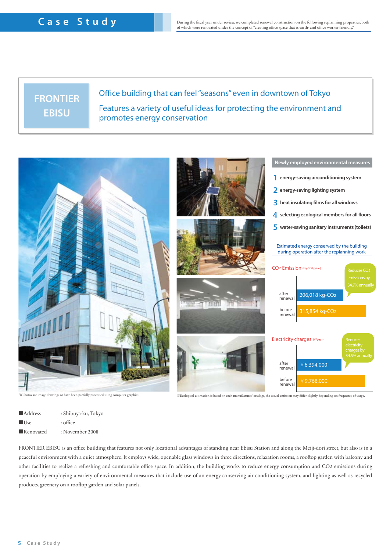## **FRONTIER EBISU**

### Office building that can feel "seasons" even in downtown of Tokyo Features a variety of useful ideas for protecting the environment and promotes energy conservation



| $\blacksquare$ Address | : Shibuya-ku, Tokyo |
|------------------------|---------------------|
| ■Use                   | $:$ office          |
| Renovated              | : November 2008     |

FRONTIER EBISU is an office building that features not only locational advantages of standing near Ebisu Station and along the Meiji-dori street, but also is in a peaceful environment with a quiet atmosphere. It employs wide, openable glass windows in three directions, relaxation rooms, a rooop garden with balcony and other facilities to realize a refreshing and comfortable office space. In addition, the building works to reduce energy consumption and CO2 emissions during operation by employing a variety of environmental measures that include use of an energy-conserving air conditioning system, and lighting as well as recycled products, greenery on a rooftop garden and solar panels.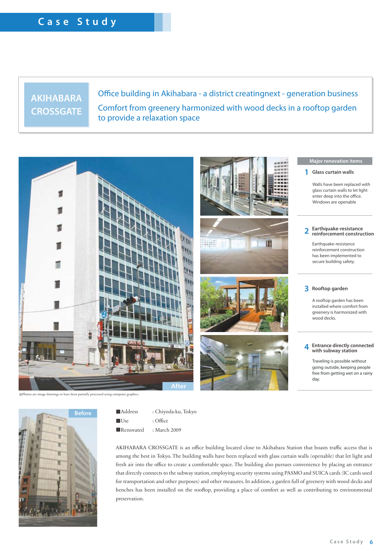### **AKIHABARA CROSSGATE**

### Office building in Akihabara - a district creatingnext - generation business Comfort from greenery harmonized with wood decks in a rooftop garden to provide a relaxation space



tos are image drawings or have been partially processed using computer graphics.



■Address : Chiyoda-ku, Tokyo

- ■Use : Office
- ■Renovated : March 2009

AKIHABARA CROSSGATE is an office building located close to Akihabara Station that boasts traffic access that is among the best in Tokyo. The building walls have been replaced with glass curtain walls (openable) that let light and fresh air into the office to create a comfortable space. The building also pursues convenience by placing an entrance that directly connects to the subway station, employing security systems using PASMO and SUICA cards (IC cards used for transportation and other purposes) and other measures. In addition, a garden full of greenery with wood decks and benches has been installed on the rooftop, providing a place of comfort as well as contributing to environmental preservation.